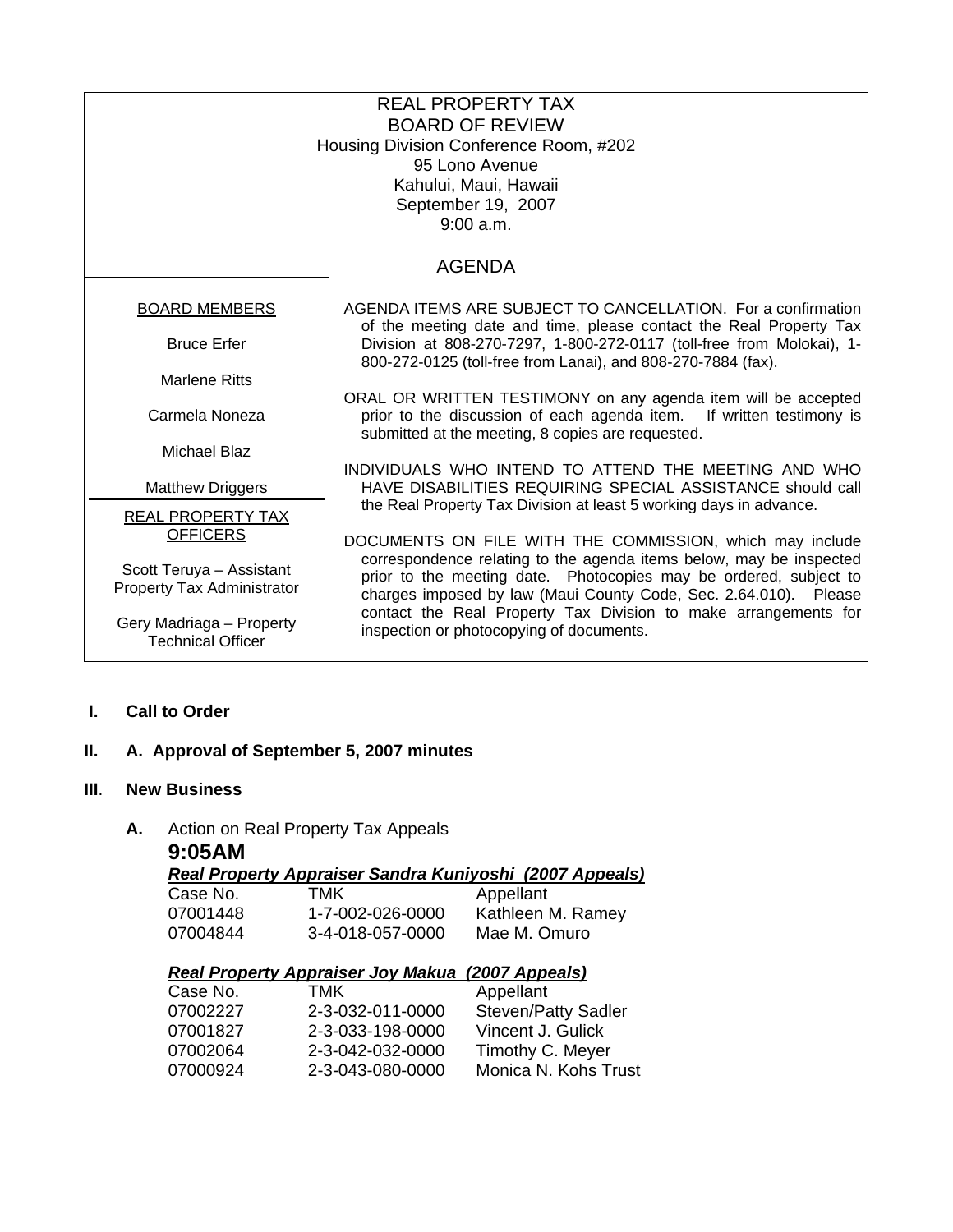| <b>REAL PROPERTY TAX</b><br><b>BOARD OF REVIEW</b><br>Housing Division Conference Room, #202<br>95 Lono Avenue<br>Kahului, Maui, Hawaii<br>September 19, 2007<br>9:00 a.m. |                                                                                                                                                                                                              |  |
|----------------------------------------------------------------------------------------------------------------------------------------------------------------------------|--------------------------------------------------------------------------------------------------------------------------------------------------------------------------------------------------------------|--|
| <b>AGENDA</b>                                                                                                                                                              |                                                                                                                                                                                                              |  |
| <b>BOARD MEMBERS</b>                                                                                                                                                       | AGENDA ITEMS ARE SUBJECT TO CANCELLATION. For a confirmation<br>of the meeting date and time, please contact the Real Property Tax                                                                           |  |
| <b>Bruce Erfer</b>                                                                                                                                                         | Division at 808-270-7297, 1-800-272-0117 (toll-free from Molokai), 1-<br>800-272-0125 (toll-free from Lanai), and 808-270-7884 (fax).                                                                        |  |
| <b>Marlene Ritts</b>                                                                                                                                                       | ORAL OR WRITTEN TESTIMONY on any agenda item will be accepted                                                                                                                                                |  |
| Carmela Noneza                                                                                                                                                             | prior to the discussion of each agenda item.<br>If written testimony is<br>submitted at the meeting, 8 copies are requested.                                                                                 |  |
| <b>Michael Blaz</b>                                                                                                                                                        | INDIVIDUALS WHO INTEND TO ATTEND THE MEETING AND WHO                                                                                                                                                         |  |
| <b>Matthew Driggers</b>                                                                                                                                                    | HAVE DISABILITIES REQUIRING SPECIAL ASSISTANCE should call                                                                                                                                                   |  |
| REAL PROPERTY TAX<br><b>OFFICERS</b>                                                                                                                                       | the Real Property Tax Division at least 5 working days in advance.<br>DOCUMENTS ON FILE WITH THE COMMISSION, which may include                                                                               |  |
| Scott Teruya - Assistant<br>Property Tax Administrator                                                                                                                     | correspondence relating to the agenda items below, may be inspected<br>prior to the meeting date. Photocopies may be ordered, subject to<br>charges imposed by law (Maui County Code, Sec. 2.64.010). Please |  |
| Gery Madriaga - Property<br><b>Technical Officer</b>                                                                                                                       | contact the Real Property Tax Division to make arrangements for<br>inspection or photocopying of documents.                                                                                                  |  |

## **I. Call to Order**

# **II. A. Approval of September 5, 2007 minutes**

#### **III**. **New Business**

# **A.** Action on Real Property Tax Appeals

| 9:05AM   |                                          |                                                         |
|----------|------------------------------------------|---------------------------------------------------------|
|          |                                          | Real Property Appraiser Sandra Kuniyoshi (2007 Appeals) |
| Case No. | TMK                                      | Appellant                                               |
| 07001448 | 1-7-002-026-0000                         | Kathleen M. Ramey                                       |
| 07004844 | 3-4-018-057-0000                         | Mae M. Omuro                                            |
|          |                                          |                                                         |
|          |                                          |                                                         |
|          | <b>Real Property Appraiser Joy Makua</b> | (2007 Appeals)                                          |
| Case No. | тмк                                      | Appellant                                               |
| 07002227 | 2-3-032-011-0000                         | <b>Steven/Patty Sadler</b>                              |
| 07001827 | 2-3-033-198-0000                         | Vincent J. Gulick                                       |
| 07002064 | 2-3-042-032-0000                         | Timothy C. Meyer                                        |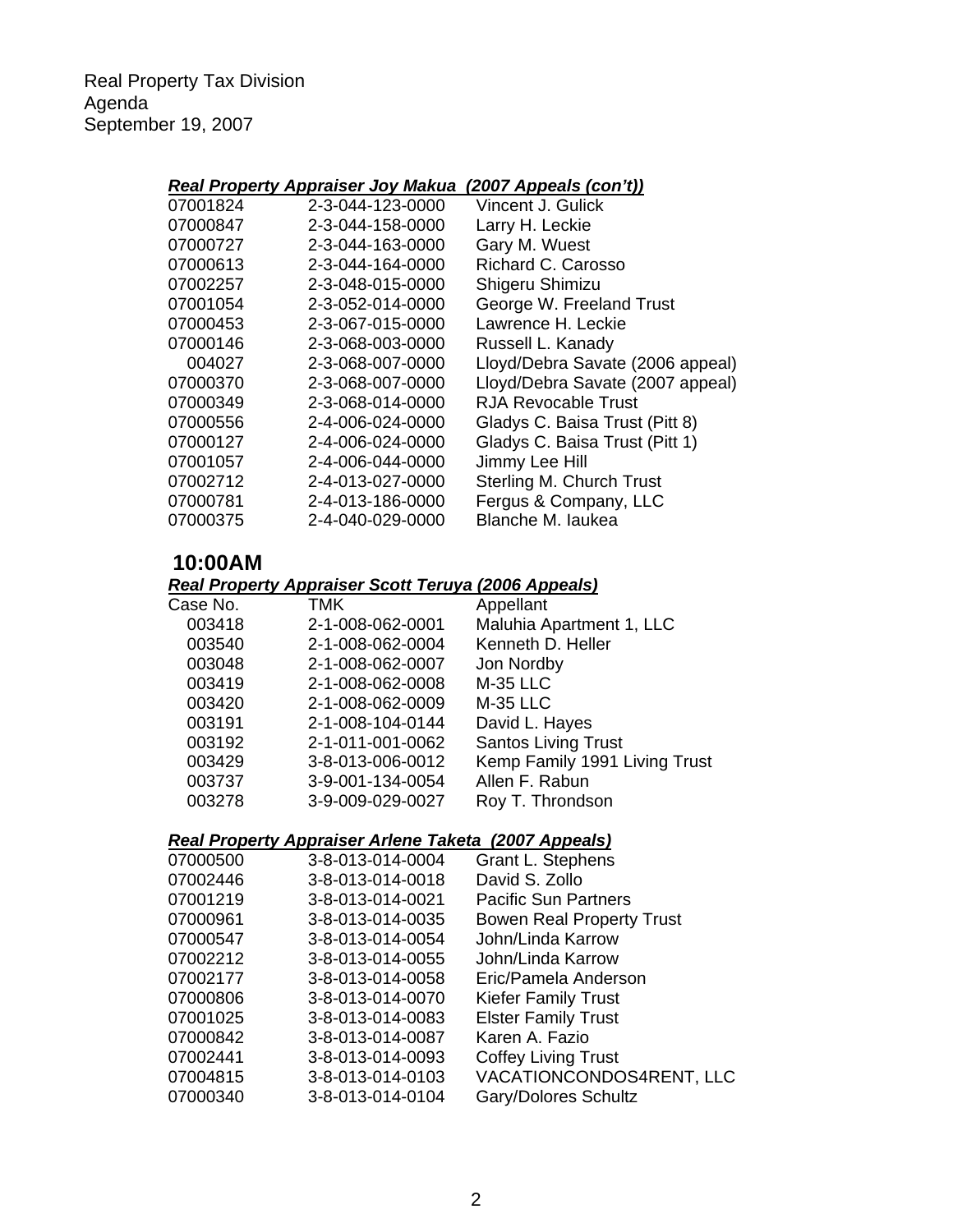Real Property Tax Division Agenda September 19, 2007

### *Real Property Appraiser Joy Makua (2007 Appeals (con't))*

| 2-3-044-123-0000 | Vincent J. Gulick                |
|------------------|----------------------------------|
| 2-3-044-158-0000 | Larry H. Leckie                  |
| 2-3-044-163-0000 | Gary M. Wuest                    |
| 2-3-044-164-0000 | Richard C. Carosso               |
| 2-3-048-015-0000 | Shigeru Shimizu                  |
| 2-3-052-014-0000 | George W. Freeland Trust         |
| 2-3-067-015-0000 | Lawrence H. Leckie               |
| 2-3-068-003-0000 | Russell L. Kanady                |
| 2-3-068-007-0000 | Lloyd/Debra Savate (2006 appeal) |
| 2-3-068-007-0000 | Lloyd/Debra Savate (2007 appeal) |
| 2-3-068-014-0000 | <b>RJA Revocable Trust</b>       |
| 2-4-006-024-0000 | Gladys C. Baisa Trust (Pitt 8)   |
| 2-4-006-024-0000 | Gladys C. Baisa Trust (Pitt 1)   |
| 2-4-006-044-0000 | Jimmy Lee Hill                   |
| 2-4-013-027-0000 | Sterling M. Church Trust         |
| 2-4-013-186-0000 | Fergus & Company, LLC            |
| 2-4-040-029-0000 | Blanche M. laukea                |
|                  |                                  |

# **10:00AM**

*Real Property Appraiser Scott Teruya (2006 Appeals)*

| Case No. | TMK              | Appellant                     |
|----------|------------------|-------------------------------|
| 003418   | 2-1-008-062-0001 | Maluhia Apartment 1, LLC      |
| 003540   | 2-1-008-062-0004 | Kenneth D. Heller             |
| 003048   | 2-1-008-062-0007 | Jon Nordby                    |
| 003419   | 2-1-008-062-0008 | <b>M-35 LLC</b>               |
| 003420   | 2-1-008-062-0009 | <b>M-35 LLC</b>               |
| 003191   | 2-1-008-104-0144 | David L. Hayes                |
| 003192   | 2-1-011-001-0062 | <b>Santos Living Trust</b>    |
| 003429   | 3-8-013-006-0012 | Kemp Family 1991 Living Trust |
| 003737   | 3-9-001-134-0054 | Allen F. Rabun                |
| 003278   | 3-9-009-029-0027 | Roy T. Throndson              |

### *Real Property Appraiser Arlene Taketa (2007 Appeals)*

| 07000500 | 3-8-013-014-0004 | Grant L. Stephens                |
|----------|------------------|----------------------------------|
| 07002446 | 3-8-013-014-0018 | David S. Zollo                   |
| 07001219 | 3-8-013-014-0021 | <b>Pacific Sun Partners</b>      |
| 07000961 | 3-8-013-014-0035 | <b>Bowen Real Property Trust</b> |
| 07000547 | 3-8-013-014-0054 | John/Linda Karrow                |
| 07002212 | 3-8-013-014-0055 | John/Linda Karrow                |
| 07002177 | 3-8-013-014-0058 | Eric/Pamela Anderson             |
| 07000806 | 3-8-013-014-0070 | <b>Kiefer Family Trust</b>       |
| 07001025 | 3-8-013-014-0083 | <b>Elster Family Trust</b>       |
| 07000842 | 3-8-013-014-0087 | Karen A. Fazio                   |
| 07002441 | 3-8-013-014-0093 | <b>Coffey Living Trust</b>       |
| 07004815 | 3-8-013-014-0103 | VACATIONCONDOS4RENT, LLC         |
| 07000340 | 3-8-013-014-0104 | Gary/Dolores Schultz             |
|          |                  |                                  |